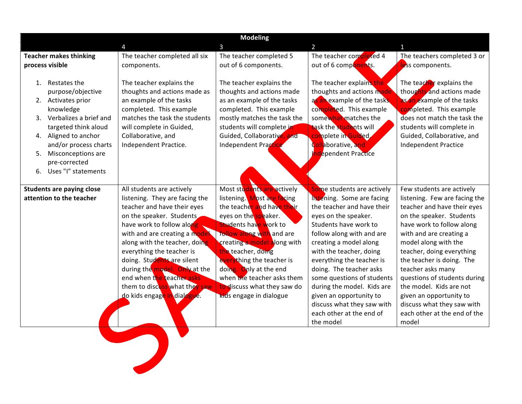| <b>Modeling</b>                                                                                                                                         |                                                                                                                                                                                                                                                                                                                                                                                                                |                                                                                                                                                                                                                                                                                                                                                                                 |                                                                                                                                                                                                                                                                                                                                                                                                                                                 |                                                                                                                                                                                                                                                                                                                                                                                                                                                   |  |  |  |
|---------------------------------------------------------------------------------------------------------------------------------------------------------|----------------------------------------------------------------------------------------------------------------------------------------------------------------------------------------------------------------------------------------------------------------------------------------------------------------------------------------------------------------------------------------------------------------|---------------------------------------------------------------------------------------------------------------------------------------------------------------------------------------------------------------------------------------------------------------------------------------------------------------------------------------------------------------------------------|-------------------------------------------------------------------------------------------------------------------------------------------------------------------------------------------------------------------------------------------------------------------------------------------------------------------------------------------------------------------------------------------------------------------------------------------------|---------------------------------------------------------------------------------------------------------------------------------------------------------------------------------------------------------------------------------------------------------------------------------------------------------------------------------------------------------------------------------------------------------------------------------------------------|--|--|--|
|                                                                                                                                                         |                                                                                                                                                                                                                                                                                                                                                                                                                | 3                                                                                                                                                                                                                                                                                                                                                                               | 2                                                                                                                                                                                                                                                                                                                                                                                                                                               |                                                                                                                                                                                                                                                                                                                                                                                                                                                   |  |  |  |
| <b>Teacher makes thinking</b><br>process visible                                                                                                        | The teacher completed all six<br>components.                                                                                                                                                                                                                                                                                                                                                                   | The teacher completed 5<br>out of 6 components.                                                                                                                                                                                                                                                                                                                                 | The teacher completed 4<br>out of 6 components.                                                                                                                                                                                                                                                                                                                                                                                                 | The teachers completed 3 or<br>less components.                                                                                                                                                                                                                                                                                                                                                                                                   |  |  |  |
| 1. Restates the<br>purpose/objective<br>2. Activates prior<br>knowledge<br>Verbalizes a brief and<br>3.<br>targeted think aloud<br>4. Aligned to anchor | The teacher explains the<br>thoughts and actions made as<br>an example of the tasks<br>completed. This example<br>matches the task the students<br>will complete in Guided,<br>Collaborative, and                                                                                                                                                                                                              | The teacher explains the<br>thoughts and actions made<br>as an example of the tasks<br>completed. This example<br>mostly matches the task the<br>students will complete in<br>Guided, Collaborative, and                                                                                                                                                                        | The teacher explains the<br>thoughts and actions made<br>as an example of the tasks.<br>completed. This example<br>somewhat matches the<br>task the students will<br>complete in Guided                                                                                                                                                                                                                                                         | The teacher explains the<br>thoughts and actions made<br>as an example of the tasks<br>completed. This example<br>does not match the task the<br>students will complete in<br>Guided, Collaborative, and                                                                                                                                                                                                                                          |  |  |  |
| and/or process charts<br>Misconceptions are<br>5.<br>pre-corrected<br>6. Uses "I" statements                                                            | Independent Practice.                                                                                                                                                                                                                                                                                                                                                                                          | Independent Practice                                                                                                                                                                                                                                                                                                                                                            | Collaborative, and<br>Independent Practice                                                                                                                                                                                                                                                                                                                                                                                                      | <b>Independent Practice</b>                                                                                                                                                                                                                                                                                                                                                                                                                       |  |  |  |
| <b>Students are paying close</b><br>attention to the teacher                                                                                            | All students are actively<br>listening. They are facing the<br>teacher and have their eyes<br>on the speaker. Students<br>have work to follow along<br>with and are creating a model<br>along with the teacher, doing<br>everything the teacher is<br>doing. Students are silent<br>during the model. Only at the<br>end when the teacher asks<br>them to discuss what they saw<br>do kids engage in dialogue. | Most students are actively<br>listening. Most are facing<br>the teacher and have their<br>eyes on the speaker.<br>Students have work to<br><b>follow along with and are</b><br>creating a model along with<br>the teacher, doing<br>everything the teacher is<br>doing. Only at the end<br>when the teacher asks them<br>to discuss what they saw do<br>kids engage in dialogue | Some students are actively<br>listening. Some are facing<br>the teacher and have their<br>eyes on the speaker.<br>Students have work to<br>follow along with and are<br>creating a model along<br>with the teacher, doing<br>everything the teacher is<br>doing. The teacher asks<br>some questions of students<br>during the model. Kids are<br>given an opportunity to<br>discuss what they saw with<br>each other at the end of<br>the model | Few students are actively<br>listening. Few are facing the<br>teacher and have their eyes<br>on the speaker. Students<br>have work to follow along<br>with and are creating a<br>model along with the<br>teacher, doing everything<br>the teacher is doing. The<br>teacher asks many<br>questions of students during<br>the model. Kids are not<br>given an opportunity to<br>discuss what they saw with<br>each other at the end of the<br>model |  |  |  |
|                                                                                                                                                         |                                                                                                                                                                                                                                                                                                                                                                                                                |                                                                                                                                                                                                                                                                                                                                                                                 |                                                                                                                                                                                                                                                                                                                                                                                                                                                 |                                                                                                                                                                                                                                                                                                                                                                                                                                                   |  |  |  |